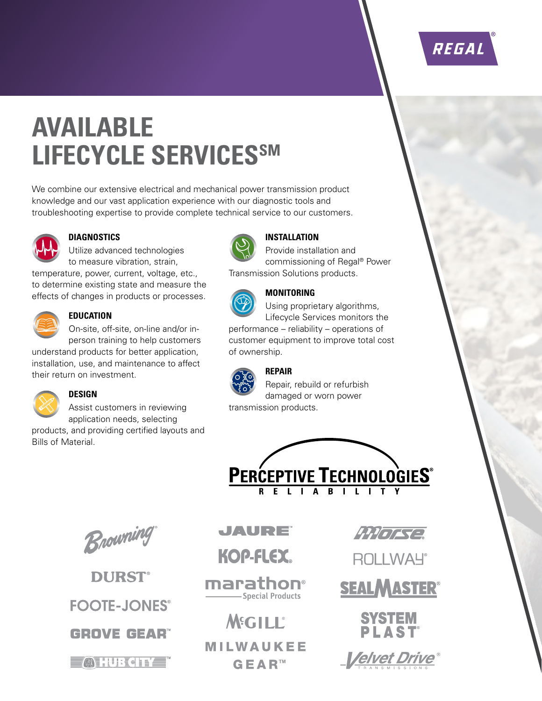# REGAL

# **AVAILABLE LIFECYCLE SERVICESSM**

We combine our extensive electrical and mechanical power transmission product knowledge and our vast application experience with our diagnostic tools and troubleshooting expertise to provide complete technical service to our customers.



#### **DIAGNOSTICS**

Utilize advanced technologies to measure vibration, strain,

temperature, power, current, voltage, etc., to determine existing state and measure the effects of changes in products or processes.



#### **EDUCATION**

On-site, off-site, on-line and/or inperson training to help customers

understand products for better application, installation, use, and maintenance to affect their return on investment.



#### **DESIGN**

Assist customers in reviewing application needs, selecting products, and providing certified layouts and

Bills of Material.



## **INSTALLATION**

Provide installation and commissioning of Regal® Power Transmission Solutions products.



### **MONITORING**

Using proprietary algorithms, Lifecycle Services monitors the performance – reliability – operations of customer equipment to improve total cost



of ownership.

#### **REPAIR**

Repair, rebuild or refurbish damaged or worn power transmission products.





**DURST® FOOTE-JONES® GROVE GEAR** 

**MHURCITY** 

## JAURE

**KOP-FLEX.** 

marathon® -Special Products

**MEGILL® MILWAUKEE GEAR™** 

 $4777772$ 

**ROLLWAY**<sup>®</sup>

**SEALMASTER®** 

**SYSTEM** PLAST

*Velvet Dri*t